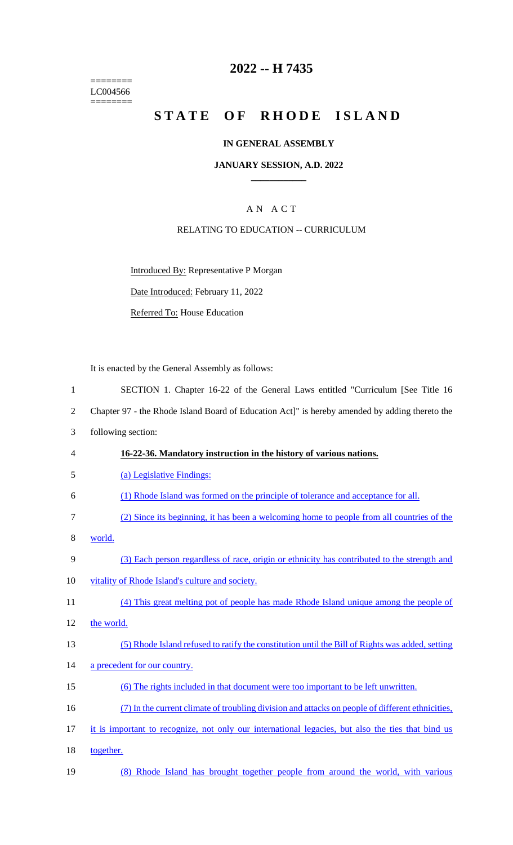======== LC004566  $=$ 

# **2022 -- H 7435**

# STATE OF RHODE ISLAND

## **IN GENERAL ASSEMBLY**

### **JANUARY SESSION, A.D. 2022 \_\_\_\_\_\_\_\_\_\_\_\_**

## A N A C T

## RELATING TO EDUCATION -- CURRICULUM

Introduced By: Representative P Morgan

Date Introduced: February 11, 2022

Referred To: House Education

It is enacted by the General Assembly as follows:

| $\mathbf{1}$   | SECTION 1. Chapter 16-22 of the General Laws entitled "Curriculum [See Title 16                   |
|----------------|---------------------------------------------------------------------------------------------------|
| $\overline{2}$ | Chapter 97 - the Rhode Island Board of Education Act]" is hereby amended by adding thereto the    |
| 3              | following section:                                                                                |
| $\overline{4}$ | 16-22-36. Mandatory instruction in the history of various nations.                                |
| 5              | (a) Legislative Findings:                                                                         |
| 6              | (1) Rhode Island was formed on the principle of tolerance and acceptance for all.                 |
| 7              | (2) Since its beginning, it has been a welcoming home to people from all countries of the         |
| 8              | world.                                                                                            |
| 9              | (3) Each person regardless of race, origin or ethnicity has contributed to the strength and       |
| 10             | vitality of Rhode Island's culture and society.                                                   |
| 11             | (4) This great melting pot of people has made Rhode Island unique among the people of             |
| 12             | the world.                                                                                        |
| 13             | (5) Rhode Island refused to ratify the constitution until the Bill of Rights was added, setting   |
| 14             | a precedent for our country.                                                                      |
| 15             | <u>(6) The rights included in that document were too important to be left unwritten.</u>          |
| 16             | (7) In the current climate of troubling division and attacks on people of different ethnicities,  |
| 17             | it is important to recognize, not only our international legacies, but also the ties that bind us |
| 18             | together.                                                                                         |
| 19             | (8) Rhode Island has brought together people from around the world, with various                  |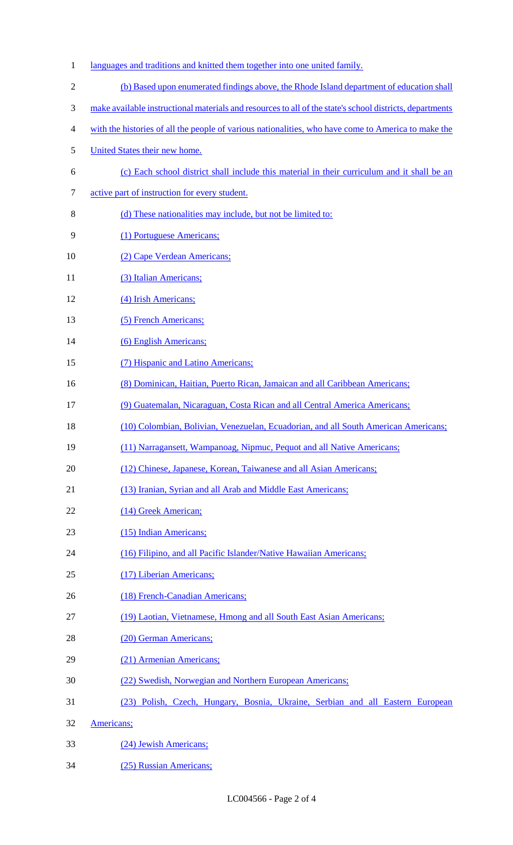- 1 languages and traditions and knitted them together into one united family. (b) Based upon enumerated findings above, the Rhode Island department of education shall make available instructional materials and resources to all of the state's school districts, departments with the histories of all the people of various nationalities, who have come to America to make the United States their new home. (c) Each school district shall include this material in their curriculum and it shall be an active part of instruction for every student. (d) These nationalities may include, but not be limited to: 9 (1) Portuguese Americans; 10 (2) Cape Verdean Americans; 11 (3) Italian Americans; (4) Irish Americans; 13 (5) French Americans; (6) English Americans; 15 (7) Hispanic and Latino Americans; 16 (8) Dominican, Haitian, Puerto Rican, Jamaican and all Caribbean Americans; (9) Guatemalan, Nicaraguan, Costa Rican and all Central America Americans; (10) Colombian, Bolivian, Venezuelan, Ecuadorian, and all South American Americans; (11) Narragansett, Wampanoag, Nipmuc, Pequot and all Native Americans; (12) Chinese, Japanese, Korean, Taiwanese and all Asian Americans; (13) Iranian, Syrian and all Arab and Middle East Americans; 22 (14) Greek American; 23 (15) Indian Americans; 24 (16) Filipino, and all Pacific Islander/Native Hawaiian Americans; (17) Liberian Americans; 26 (18) French-Canadian Americans; (19) Laotian, Vietnamese, Hmong and all South East Asian Americans; 28 (20) German Americans; (21) Armenian Americans; (22) Swedish, Norwegian and Northern European Americans; (23) Polish, Czech, Hungary, Bosnia, Ukraine, Serbian and all Eastern European Americans; (24) Jewish Americans;
- (25) Russian Americans;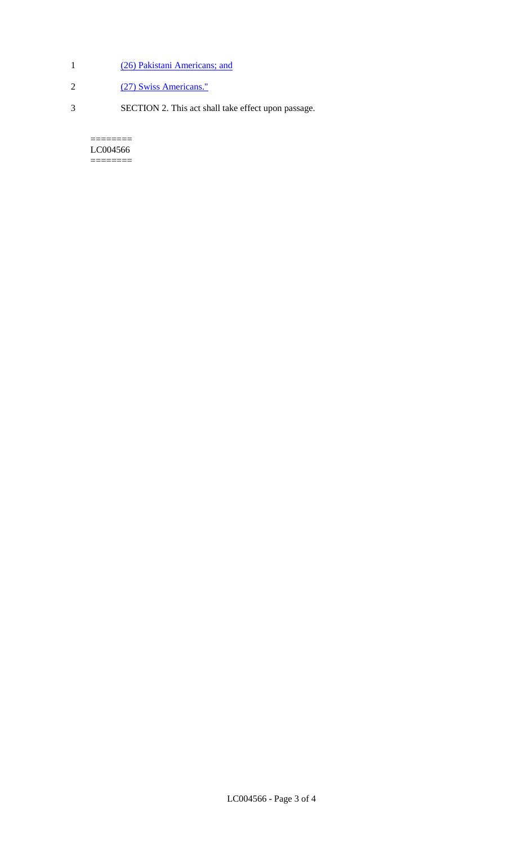- 1 (26) Pakistani Americans; and
- 2 (27) Swiss Americans."
- 3 SECTION 2. This act shall take effect upon passage.

#### $=$ LC004566 ========